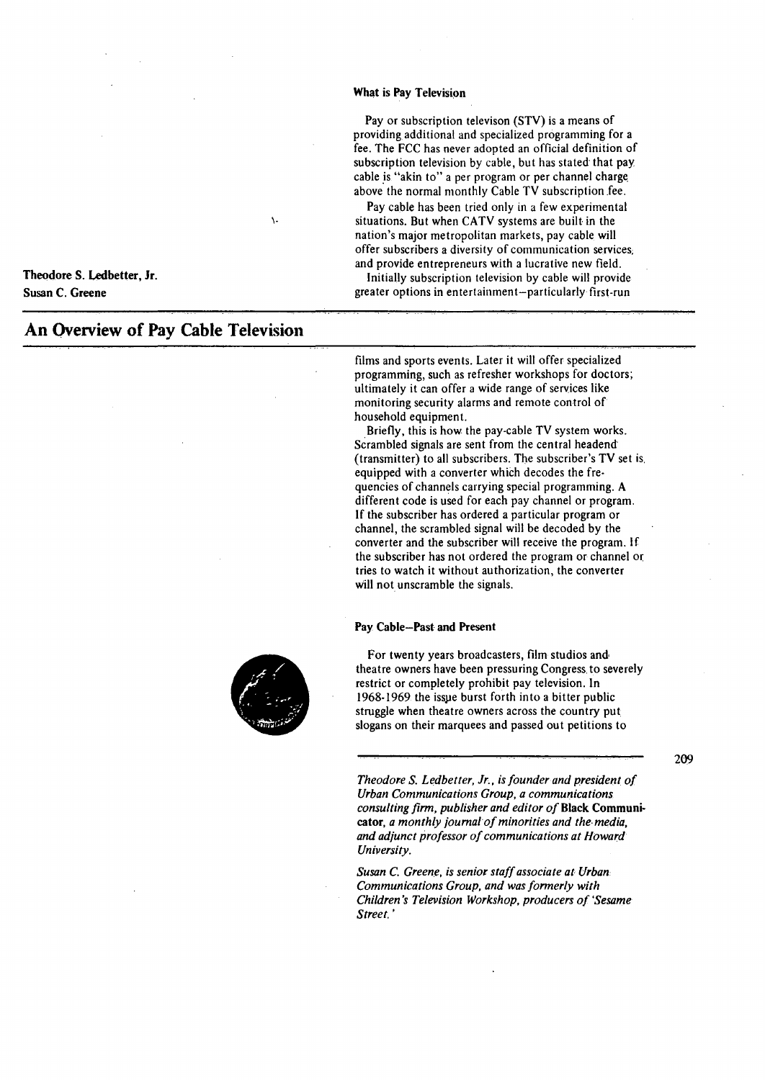### **What is Pay Television**

Pay or subscription televison (STY) is a means of providing additional and specialized programming for a fee. The FCC has never adopted an official definition of subscription television by cable, but has stated that pay. cable is "akin to" a per program or per channel charge above the normal monthly Cable TV subscription fee.

Pay cable has been tried only in a few experimental situations. But when CATV systems are built in the nation's major metropolitan markets, pay cable will offer subscribers a diversity of communication services; and provide entrepreneurs with a lucrative new field.

Initially subscription television by cable will provide greater options in entertainment-particularly first-run

Theodore S. Ledbetter, Jr. **Susan C. Greene** 

# **An Overview of Pay Cable Television**

films and sports events. Later it will offer specialized programming, such as refresher workshops for doctors; ultimately it can offer a wide range of services like monitoring security alarms and remote control of household equipment.

Briefly, this is how the pay-cable TV system works. Scrambled signals are sent from the central headend· (transmitter) to all subscribers. The subscriber's TV set is. equipped with a converter whieh decodes the frequencies of channels carrying special programming. A different code is used for each pay channel or program. If the subscriber has ordered a particular program or channel, the scrambled signal will be decoded by the converter and the subscriber will receive the program. If the subscriber has not ordered the program or channel or tries to watch it without authorization, the converter will not unscramble the signals.

### **Pay Cable-Past and Present**

For twenty years broadcasters, film studios and· theatre owners have been pressuring Congress. to severely restrict or completely prohibit pay television. In 1968-1969 the isspe burst forth into a bitter public struggle when theatre owners across the country put slogans on their marquees and passed out petitions to

\.

*Theodore S. Ledbetter, Jr., is founder and president of Urban Communications Group, a communications consulting firm, publisher and editor of* **Black Communi**cator, *a monthly journal of minorities and the media*, *and adjunct professor of communications at Howard University.* 

*Susan* C. *Greene, is senior staff associate at Urban Communications Group, and was formerly with Children's Television Workshop, producers of 'Sesame Street.'* 

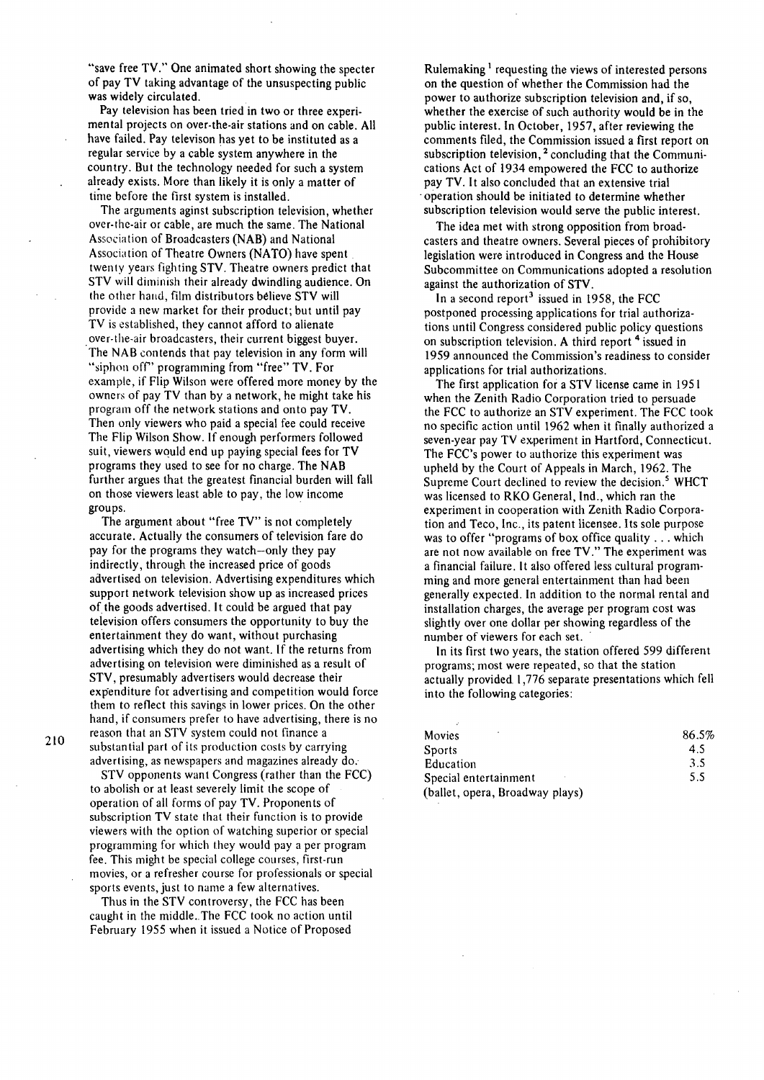"save free TV." One animated short showing the specter of pay TV taking advantage of the unsuspecting public was widely circulated.

Pay television has been tried in two or three experimental projects on over-the-air stations and on cable. All have failed. Pay televison has yet to be instituted as a regular service by a cable system anywhere in the country. But the technology needed for such a system already exists. More than likely it is only a matter of time before the first system is installed.

The arguments aginst subscription television, whether over-the-air or cable, are much the same. The National Association of Broadcasters (NAB) and National Association of Theatre Owners (NATO) have spent twenty years fighting STV. Theatre owners predict that STV will diminish their already dwindling audience. On the other hand, film distributors believe STV will provide a new market for their product; but until pay TV is established, they cannot afford to alienate over-the-air broadcasters, their current biggest buyer. The NAB contends that pay television in any form will "siphon off' programming from "free" TV. For example, if Flip Wilson were offered more money by the owners of pay TV than by a network, he might take his program off the network stations and onto pay TV. Then only viewers who paid a special fee could receive The Flip Wilson Show. If enough performers followed suit, viewers would end up paying special fees for TV programs they used to see for no charge. The NAB further argues that the greatest financial burden will fall on those viewers least able to pay, the low income groups.

The argument about "free TV" is not completely accurate. Actually the consumers of television fare do pay for the programs they watch-only they pay indirectly, through the increased price of goods advertised on television. Advertising expenditures which support network television show up as increased prices of the goods advertised. It could be argued that pay television offers consumers the opportunity to buy the entertainment they do want, without purchasing advertising which they do not want. If the returns from advertising on television were diminished as a result of STV, presumably advertisers would decrease their expenditure for advertising and competition would force them to reflect this savings in lower prices. On the other hand, if consumers prefer to have advertising, there is no reason that an STV system could not finance a substantial part of its production costs by carrying advertising, as newspapers and magazines already do;

STV opponents want Congress (rather than the FCC) to abolish or at least severely limit the scope of operation of all forms of pay TV. Proponents of subscription TV state that their function is to provide viewers with the option of watching superior or special programming for which they would pay a per program fee. This might be special college courses, first-run movies, or a refresher course for professionals or special sports events, just to name a few alternatives.

Thus in the STV controversy, the FCC has been caught in the middle. The FCC took no action until February 1955 when it issued a Notice of Proposed

Rulemaking<sup>1</sup> requesting the views of interested persons on the question of whether the Commission had the power to authorize subscription television and, if so, whether the exercise of such authority would be in the public interest. In October, 1957, after reviewing the comments filed, the Commission issued a first report on subscription television, <sup>2</sup> concluding that the Communications Act of 1934 empowered the FCC to authorize pay TV. It also concluded that an extensive trial operation should be initiated to determine whether subscription television would serve the public interest.

The idea met with strong opposition from broadcasters and theatre owners. Several pieces of prohibitory legislation were introduced in Congress and the House Subcommittee on Communications adopted a resolution against the authorization of STV.

In a second report<sup>3</sup> issued in 1958, the FCC postponed processing applications for trial authorizations until Congress considered public policy questions on subscription television. A third report<sup>4</sup> issued in 1959 announced the Commission's readiness to consider applications for trial authorizations.

The first application for a STV license came in 1951 when the Zenith Radio Corporation tried to persuade the FCC to authorize an STV experiment. The FCC took no specific action until 1962 when it finally authorized a seven-year pay TV experiment in Hartford, Connecticut. The FCC's power to authorize this experiment was upheld by the Court of Appeals in March, 1962. The Supreme Court declined to review the decision.<sup>5</sup> WHCT was licensed to RKO General, Ind., which ran the experiment in cooperation with Zenith Radio Corporation and Teco, Inc., its patent licensee. Its sole purpose was to offer "programs of box office quality ... which are not now available on free TV." The experiment was a financial failure. It also offered less cultural programming and more general entertainment than had been generally expected. In addition to the normal rental and installation charges, the average per program cost was slightly over one dollar per showing regardless of the number of viewers for each set.

In its first two years, the station offered 599 different programs; most were repeated, so that the station actually provided 1,776 separate presentations which fell into the following categories:

| ٠<br><b>Movies</b>              | 86.5% |
|---------------------------------|-------|
| <b>Sports</b>                   | 4.5   |
| Education                       | 3.5   |
| Special entertainment           | 5.5   |
| (ballet, opera, Broadway plays) |       |

210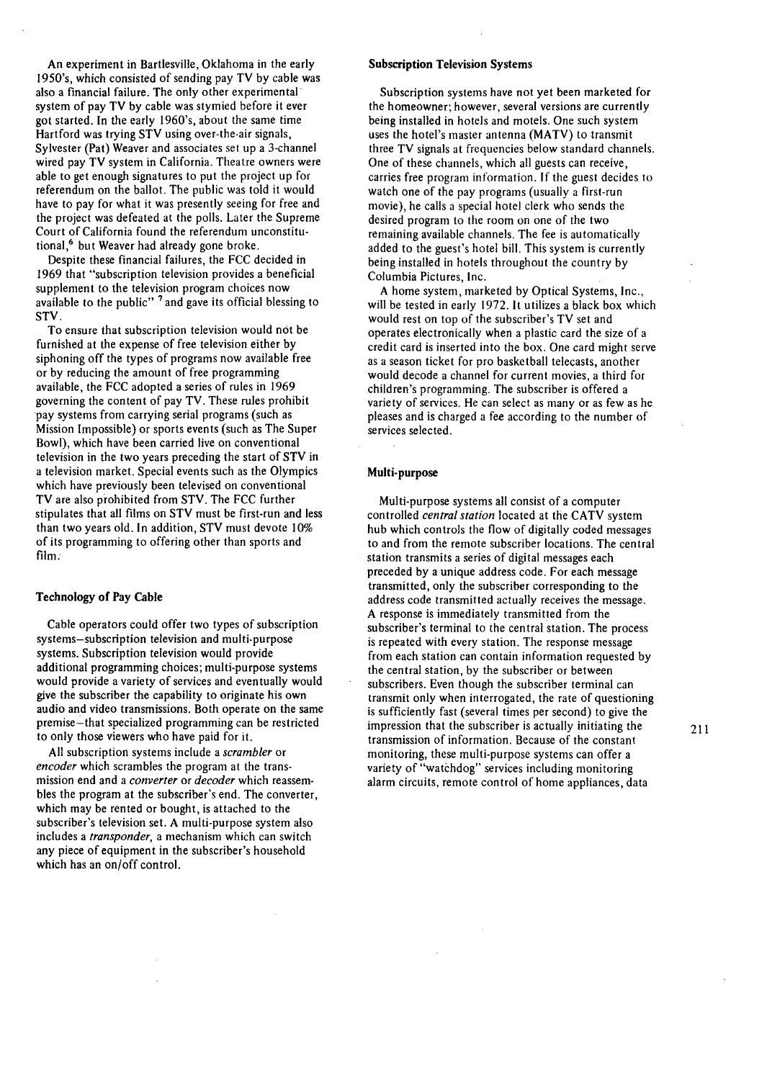An experiment in Bartlesville, Oklahoma in the early I 950's, which consisted of sending pay TV by cable was also a financial failure. The only other experimental· system of pay TV by cable was stymied before it ever got started. In the early 1960's, about the same time Hartford was trying STV using over-the-air signals, Sylvester (Pat) Weaver and associates set up a 3-channel wired pay TV system in California. Theatre owners were able to get enough signatures to put the project up for referendum on the ballot. The public was told it would have to pay for what it was presently seeing for free and the project was defeated at the polls. Later the Supreme Court of California found the referendum unconstitutional,<sup>6</sup> but Weaver had already gone broke.

Despite these financial failures, the FCC decided in 1969 that "subscription television provides a beneficial supplement to the television program choices now available to the public" <sup>7</sup> and gave its official blessing to STV.

To ensure that subscription television would not be furnished at the expense of free television either by siphoning off the types of programs now available free or by reducing the amount of free programming available, the FCC adopted a series of rules in 1969 governing the content of pay TV. These rules prohibit pay systems from carrying serial programs (such as Mission Impossible) or sports events (such as The Super Bowl), which have been carried live on conventional television in the two years preceding the start of STV in a television market. Special events such as the Olympics which have previously been televised on conventional TV are also prohibited from STV. The FCC further stipulates that all films on STV must be first-run and less than two years old. In addition, STV must devote 10% of its programming to offering other than sports and film.

## Technology of Pay Cable

Cable operators could offer two types of subscription systems-subscription television and multi-purpose systems. Subscription television would provide additional programming choices; multi-purpose systems would provide a variety of services and eventually would give the subscriber the capability to originate his own audio and video transmissions. Both operate on the same premise-that specialized programming can be restricted to only those viewers who have paid for it.

All subscription systems include a *scrambler* or *encoder* which scrambles the program at the transmission end and a *converter* or *decoder* which reassembles the program at the subscriber's end. The converter, which may be rented or bought, is attached to the subscriber's television set. A multi-purpose system also includes a *transponder,* a mechanism which can switch any piece of equipment in the subscriber's household which has an on/off control.

### Subscription Television Systems

Subscription systems have not yet been marketed for the homeowner; however, several versions are currently being installed in hotels and motels. One such system uses the hotel's master antenna (MATV) to transmit three TV signals at frequencies below standard channels. One of these channels, which all guests can receive, carries free program information. If the guest decides to watch one of the pay programs (usually a first-run movie), he calls a special hotel clerk who sends the desired program to the room on one of the two remaining available channels. The fee is automatically added to the guest's hotel bill. This system is currently being installed in hotels throughout the country by Columbia Pictures, Inc.

A home system, marketed by Optical Systems, Inc., will be tested in early 1972. It utilizes a black box which would rest on top of the subscriber's TV set and operates electronically when a plastic card the size of a credit card is inserted into the box. One card might serve as a season ticket for pro basketball telecasts, another would decode a channel for current movies, a third for children's programming. The subscriber is offered a variety of services. He can select as many or as few as he pleases and is charged a fee according to the number of services selected.

# Multi-purpose

Multi-purpose systems all consist of a computer controlled *central station* located at the CATV system hub which controls the flow of digitally coded messages to and from the remote subscriber locations. The central station transmits a series of digital messages each preceded by a unique address code. For each message transmitted, only the subscriber corresponding to the address code transmitted actually receives the message. A response is immediately transmitted from the subscriber's terminal to the central station. The process is repeated with every station. The response message from each station can contain information requested by the central station, by the subscriber or between subscribers. Even though the subscriber terminal can transmit only when interrogated, the rate of questioning is sufficiently fast (several times per second) to give the impression that the subscriber is actually initiating the transmission of information. Because of the constant monitoring, these multi-purpose systems can offer a variety of "watchdog" services including monitoring alarm circuits, remote control of home appliances, data

211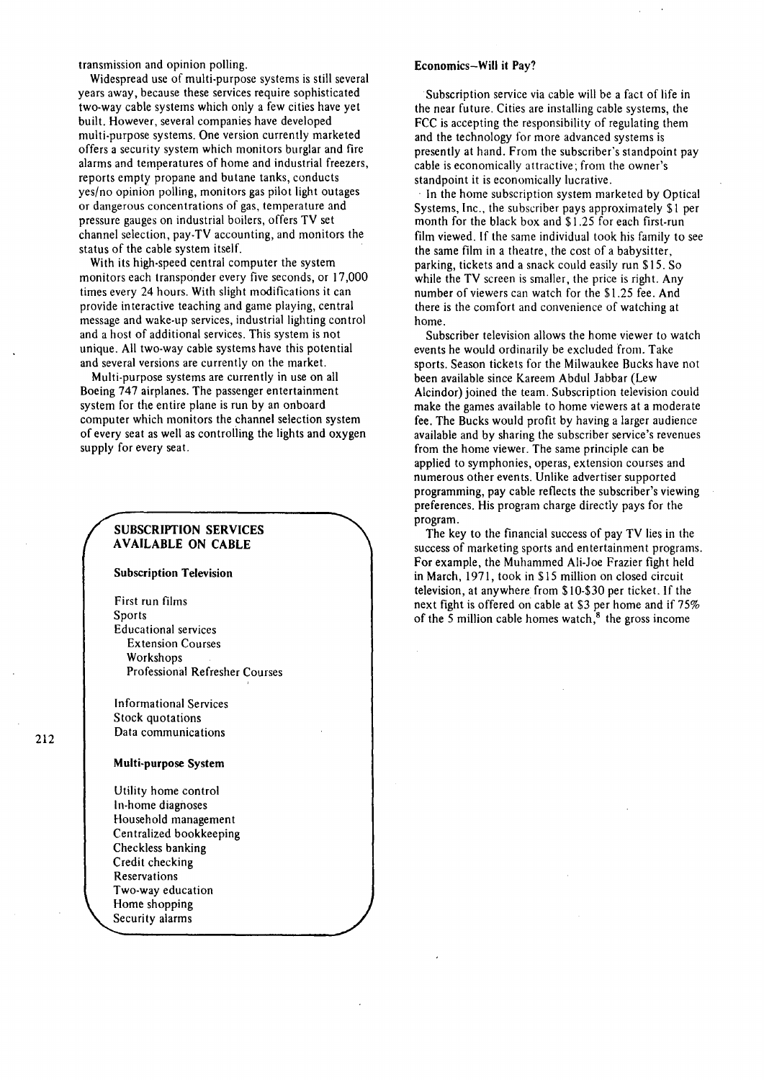transmission and opinion polling.

Widespread use of multi-purpose systems is still several years away, because these services require sophisticated two-way cable systems which only a few cities have yet built. However, several companies have developed multi-purpose systems. One version currently marketed offers a security system which monitors burglar and fire alarms and temperatures of home and industrial freezers, reports empty propane and butane tanks, conducts yes/no opinion polling, monitors gas pilot light outages or dangerous concentrations of gas, temperature and pressure gauges on industrial boilers, offers TV set channel selection, pay-TV accounting, and monitors the status of the cable system itself.

With its high-speed central computer the system monitors each transponder every five seconds, or 17 ,000 times every 24 hours. With slight modifications it can provide interactive teaching and game playing, central message and wake-up services, industrial lighting control and a host of additional services. This system is not unique. All two-way cable systems have this potential and several versions are currently on the market.

Multi-purpose systems are currently in use on all Boeing 747 airplanes. The passenger entertainment system for the entire plane is run by an onboard computer which monitors the channel selection system of every seat as well as controlling the lights and oxygen supply for every seat.

# SUBSCRIPTION SERVICES AVAILABLE ON CABLE

Subscription Television

First run films Sports Educational services Extension Courses Workshops Professional Refresher Courses

Informational Services Stock quotations Data communications

### Multi-purpose System

Utility home control In-home diagnoses Household management Centralized bookkeeping Checkless banking Credit checking Reservations Two-way education Home shopping Security alarms

# Economics-Will it Pay?

Subscription service via cable will be a fact of life in the near future. Cities are installing cable systems, the FCC is accepting the responsibility of regulating them and the technology for more advanced systems is presently at hand. From the subscriber's standpoint pay cable is economically attractive; from the owner's standpoint it is economically lucrative.

In the home subscription system marketed by Optical Systems, Inc., the subscriber pays approximately \$1 per month for the black box and \$1.25 for each first-run film viewed. If the same individual took his family to see the same film in a theatre, the cost of a babysitter, parking, tickets and a snack could easily run \$15. So while the TV screen is smaller, the price is right. Any number of viewers can watch for the \$1.25 fee. And there is the comfort and convenience of watching at home.

Subscriber television allows the home viewer to watch events he would ordinarily be excluded from. Take sports. Season tickets for the Milwaukee Bucks have not been available since Kareem Abdul Jabbar (Lew Alcindor) joined the team. Subscription television could make the games available to home viewers at a moderate fee. The Bucks would profit by having a larger audience available and by sharing the subscriber service's revenues from the home viewer. The same principle can be applied to symphonies, operas, extension courses and numerous other events. Unlike advertiser supported programming, pay cable reflects the subscriber's viewing preferences. His program charge directly pays for the program.

The key to the financial success of pay TV lies in the success of marketing sports and entertainment programs. For example, the Muhammed Ali-Joe Frazier fight held in March, 1971, took in \$15 million on closed circuit television, at anywhere from \$10-\$30 per ticket. If the next fight is offered on cable at \$3 per home and if 75% of the  $\overline{5}$  million cable homes watch, $\overline{8}$  the gross income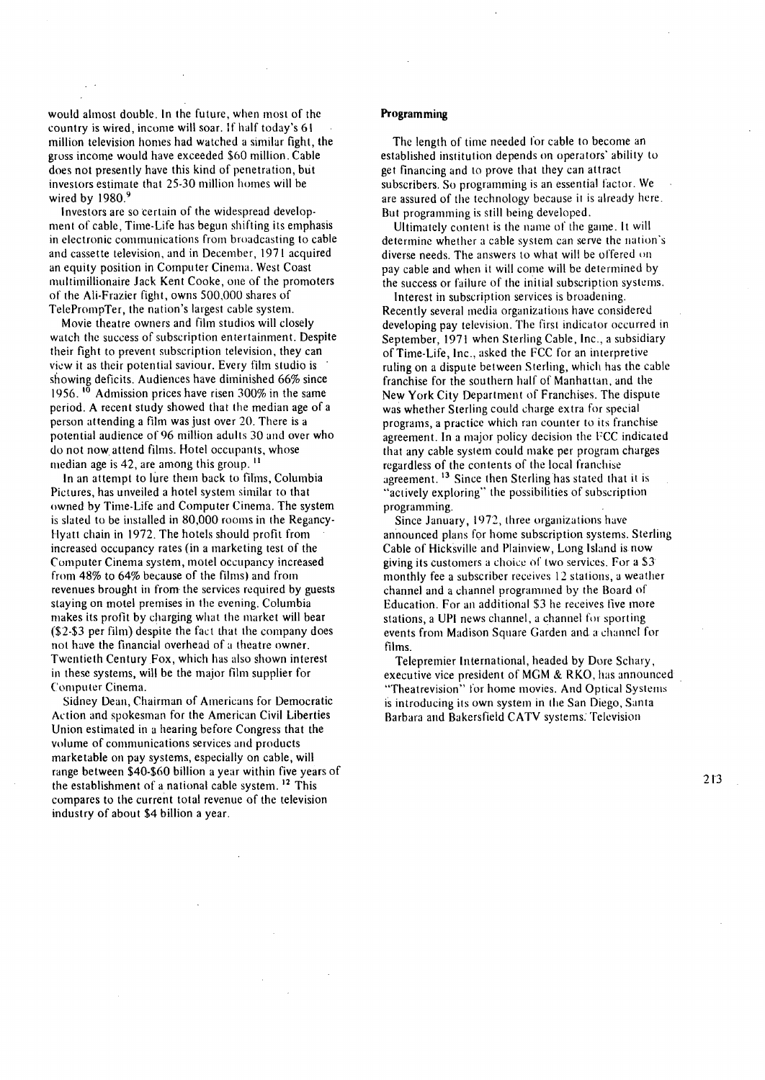would almost double. In the future, when most of the country is wired, income will soar. lf half today's 61 million television homes had watched a similar fight, the gross income would have exceeded \$60 million. Cable does not presently have this kind of penetration, but investors estimate that 25-30 million homes will be wired by  $1980.<sup>9</sup>$ 

Investors are so certain of the widespread development of cable, Time-Life has begun shifting its emphasis in electronic communications from broadcasting to cable and cassette television, and in December, 1971 acquired an equity position in Computer Cinema. West Coast multimillionaire Jack Kent Cooke, one of the promoters of the Ali-Frazier fight, owns 500,000 shares of TelePrompTer, the nation's largest cable system.

Movie theatre owners and film studios will closely watch the success of subscription entertainment. Despite their fight to prevent subscription television, they can view it as their potential saviour. Every film studio is · showing deficits. Audiences have diminished 66% since 1956.  $10^{\circ}$  Admission prices have risen 300% in the same period. A recent study showed that the median age of a person attending a film was just over 20. There is a potential audience of 96 million adults 30 and over who do not now attend films. Hotel occupants, whose median age is 42, are among this group.<sup>11</sup>

In an attempt to lure them back to films, Columbia Pictures, has unveiled a hotel system similar to that owned by Time-Life and Computer Cinema. The system is slated to be installed in 80,000 rooms in the Regancy-Hyatt chain in 1972. The hotels should profit from increased occupancy rates (in a marketing test of the Computer Cinema system, motel occupancy increased from 48% to 64% because of the films) and from revenues brought in from the services required by guests staying on motel premises in the evening. Columbia makes its profit by charging what the market will bear (\$2-\$3 per film) despite the fact that the company does not have the financial overhead of a theatre owner. Twentieth Century Fox, which has also shown interest in these systems, will be the major film supplier for Computer Cinema.

Sidney Dean, Chairman of Americans for Democratic Action and spokesman for the American Civil Liberties Union estimated in a hearing before Congress that the volume of communications services and products marketable on pay systems, especially on cable, will range between \$40-\$60 billion a year within five years of the establishment of a national cable system.  $12$  This compares to the current total revenue of the television industry of about \$4 billion a year.

### **Programming**

The length of time needed for cable to become an established institution depends on operators' ability to get financing and to prove that they can attract subscribers. So programming is an essential factor. We are assured of the technology because it is already here. But programming is still being developed.

Ultimately content is the name of the game. It will determine whether a cable system can serve the nation's diverse needs. The answers to what will be offered on pay cable and when it will come will be determined by the success or failure of the initial subscription systems.

Interest in subscription services is broadening. Recently several media organizations have considered developing pay television. The first indicator occurred in September, 1971 when Sterling Cable, Inc., a subsidiary of Time-Life, Inc., asked the FCC for an interpretive ruling on a dispute between Sterling, which has the cable franchise for the southern half of Manhattan, and the New York City Department of Franchises. The dispute was whether Sterling could charge extra for special programs, a practice which ran counter to its franchise agreement. In a major policy decision the FCC indicated that any cable system could make per program charges regardless of the contents of the local franchise agreement.  $13$  Since then Sterling has stated that it is ''actively exploring" the possibilities of subscription programming.

Since January, 1972, three organizations have announced plans for home subscription systems. Sterling Cable of Hicksville and Plainview, Long Island is now giving its customers a choice of two services. For a  $$3$ monthly fee a subscriber receives 12 stations, a weather channel and a channel programmed by the Board of Education. For an additional \$3 he receives live more stations, a UPI news channel, a channel for sporting events from Madison Square Garden and a channel for films.

Telepremier International, headed by Dore Schary, executive vice president of MGM & RKO, has announced "Theatrevision" for home movies. And Optical Systems is introducing its own system in the San Diego, Santa Barbara and Bakersfield CATV systems. Television

2 IJ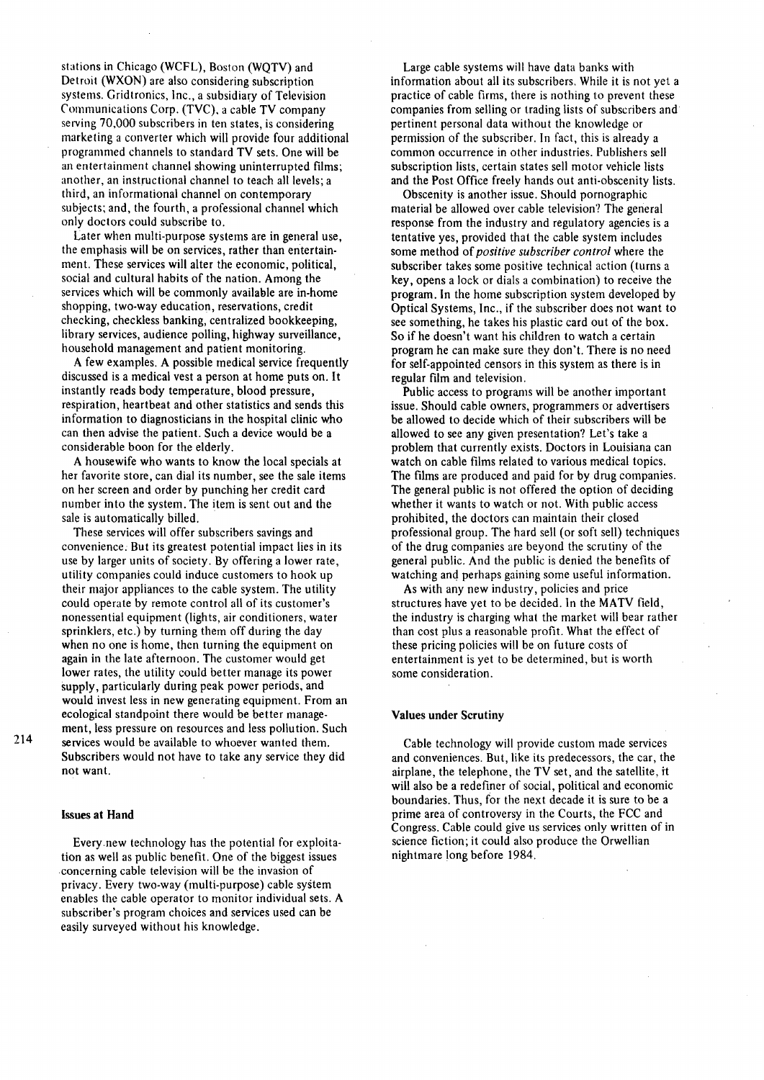stations in Chicago (WCFL), Boston (WQTV) and Detroit (WXON) are also considering subscription systems. Gridtronics, Inc., a subsidiary of Television Communications Corp. (TVC). a cable TV company serving 70,000 subscribers in ten states, is considering marketing a converter which will provide four additional programmed channels to standard TV sets. One will be an entertainment channel showing uninterrupted films; another, an instructional channel to teach all levels; a third, an informational channel on contemporary subjects; and, the fourth, a professional channel which only doctors could subscribe to.

Later when multi-purpose systems are in general use, the emphasis will be on services, rather than entertainment. These services will alter the economic, political, social and cultural habits of the nation. Among the services which will be commonly available are in-home shopping, two-way education, reservations, credit checking, checkless banking, centralized bookkeeping, library services, audience polling, highway surveillance, household management and patient monitoring.

A few examples. A possible medical service frequently discussed is a medical vest a person at home puts on. It instantly reads body temperature, blood pressure, respiration, heartbeat and other statistics and sends this information to diagnosticians in the hospital clinic who can then advise the patient. Such a device would be a considerable boon for the elderly.

A housewife who wants to know the local specials at her favorite store, can dial its number, see the sale items on her screen and order by punching her credit card number into the system. The item is sent out and the sale is automatically billed.

These services will offer subscribers savings and convenience. But its greatest potential impact lies in its use by larger units of society. By offering a lower rate, utility companies could induce customers to hook up their major appliances to the cable system. The utility could operate by remote control all of its customer's nonessential equipment (lights, air conditioners, water sprinklers, etc.) by turning them off during the day when no one is home, then turning the equipment on again in the late afternoon. The customer would get lower rates, the utility could better manage its power supply, particularly during peak power periods, and would invest less in new generating equipment. From an ecological standpoint there would be better management, less pressure on resources and less pollution. Such services would be available to whoever wanted them. Subscribers would not have to take any service they did not want.

### Issues at **Hand**

214

Every.new technology has the potential for exploitation as well as public benefit. One of the biggest issues concerning cable television will be the invasion of privacy. Every two-way (multi-purpose) cable system enables the cable operator to monitor individual sets. A subscriber's program choices and services used can be easily surveyed without his knowledge.

Large cable systems will have data banks with information about all its subscribers. While it is not yet a practice of cable firms, there is nothing to prevent these companies from selling or trading lists of subscribers and pertinent personal data without the knowledge or permission of the subscriber. In fact, this is already a common occurrence in other industries. Publishers sell subscription lists, certain states sell motor vehicle lists and the Post Office freely hands out anti-obscenity lists.

Obscenity is another issue. Should pornographic material be allowed over cable television? The general response from the industry and regulatory agencies is a tentative yes, provided that the cable system includes some method of *positive subscriber control* where the subscriber takes some positive technical action (turns a key, opens a lock or dials a combination) to receive the program. In the home subscription system developed by Optical Systems, Inc., if the subscriber does not want to see something, he takes his plastic card out of the box. So if he doesn't want his children to watch a certain program he can make sure they don't. There is no need for self-appointed censors in this system as there is in regular film and television.

Public access to programs will be another important issue. Should cable owners, programmers or advertisers be allowed to decide which of their subscribers will be allowed to see any given presentation? Let's take a problem that currently exists. Doctors in Louisiana can watch on cable films related to various medical topics. The films are produced and paid for by drug companies. The general public is not offered the option of deciding whether it wants to watch or not. With public access prohibited, the doctors can maintain their closed professional group. The hard sell (or soft sell) techniques of the drug companies are beyond the scrutiny of the general public. And the public is denied the benefits of watching and perhaps gaining some useful information.

As with any new industry, policies and price structures have yet to be decided. ln the MATV field, the industry is charging what the market will bear rather than cost plus a reasonable profit. What the effect of these pricing policies will be on future costs of entertainment is yet to be determined, but is worth some consideration.

#### Values under Scrutiny

Cable technology will provide custom made services and conveniences. But, like its predecessors, the car, the airplane, the telephone, the TV set, and the satellite, it will also be a redefiner of social, political and economic boundaries. Thus, for the next decade it is sure to be a prime area of controversy in the Courts, the FCC and Congress. Cable could give us services only written of in science fiction; it could also produce the Orwellian nightmare long before 1984.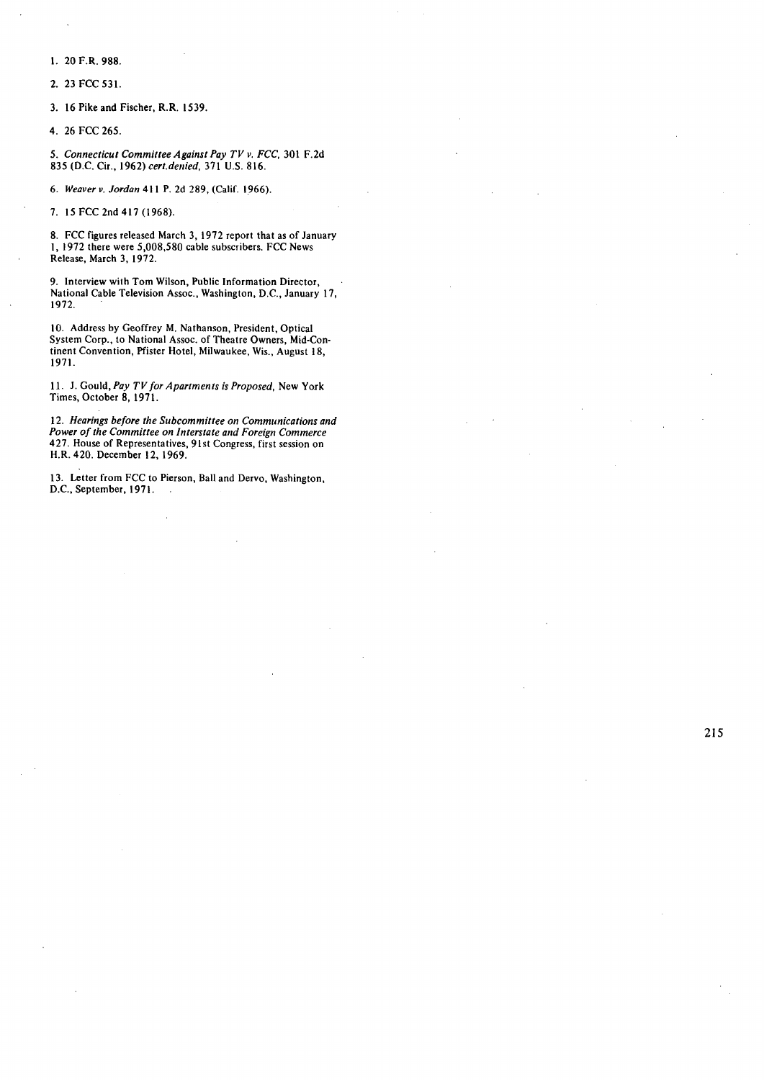l. 20 F.R. 988.

2. 23 FCC 531.

3. 16 Pike and Fischer, R.R. 1539.

4. 26 FCC 265.

*5. Connecticut Committee Against Pay TV v. FCC,* 301 F.2d 835 (D.C. Cir., 1962) *cert.denied,* 371 U.S. 816.

6. *Weaver v. Jordan* 411 P. 2d 289, (Calif. 1.966).

7. J5FCC2nd417(1968).

8. FCC figures released March 3, 1972 report that as of January I, 1972 there were 5,008,580 cable subscribers. FCC News Release, March 3, 1972.

9. Interview with Tom Wilson, Public Information Director, National Cable Television Assoc., Washington, D.C., January 17, 1972.

10. Address by Geoffrey M. Nathanson, President, Optical System Corp., to National Assoc. of Theatre Owners, Mid-Continent Convention, Pfister Hotel, Milwaukee, Wis., August 18, 1971.

11. J. Gould, *Pay TV for Apartments is Proposed,* New York Times, October 8, 1971.

12. *Hearings before the Subcommittee on Communications and Power of the Committee on Interstate and Foreign Commerce*  427. House of Representatives, 91st Congress, first session on H.R.420. December 12, 1969.

13. Letter from FCC to Pierson, Ball and Dervo, Washington, D.C., September, 1971.

215